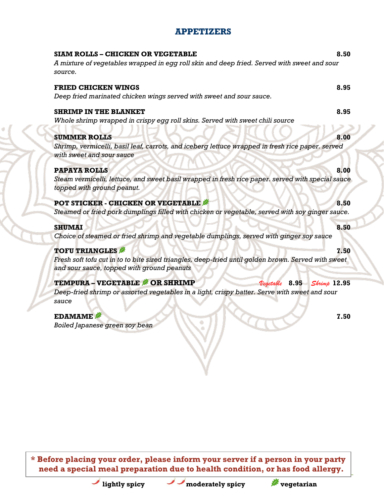### **APPETIZERS**

| <b>SIAM ROLLS - CHICKEN OR VEGETABLE</b>                                                                                      | 8.50 |
|-------------------------------------------------------------------------------------------------------------------------------|------|
| A mixture of vegetables wrapped in egg roll skin and deep fried. Served with sweet and sour<br>source.                        |      |
| <b>FRIED CHICKEN WINGS</b>                                                                                                    | 8.95 |
| Deep fried marinated chicken wings served with sweet and sour sauce.                                                          |      |
| <b>SHRIMP IN THE BLANKET</b>                                                                                                  | 8.95 |
| Whole shrimp wrapped in crispy egg roll skins. Served with sweet chili source                                                 |      |
| <b>SUMMER ROLLS</b>                                                                                                           | 8.00 |
| Shrimp, vermicelli, basil leaf, carrots, and iceberg lettuce wrapped in fresh rice paper. served<br>with sweet and sour sauce |      |
| <b>PAPAYA ROLLS</b>                                                                                                           | 8.00 |
| Steam vermicelli, lettuce, and sweet basil wrapped in fresh rice paper. served with special sauce                             |      |
| topped with ground peanut.                                                                                                    |      |
| <b>POT STICKER - CHICKEN OR VEGETABLE</b>                                                                                     | 8.50 |
| Steamed or fried pork dumplings filled with chicken or vegetable, served with soy ginger sauce.                               |      |
| <b>SHUMAI</b>                                                                                                                 | 8.50 |
| Choice of steamed or fried shrimp and vegetable dumplings, served with ginger soy sauce                                       |      |
| <b>TOFU TRIANGLES</b>                                                                                                         | 7.50 |
| Fresh soft tofu cut in to to bite sized triangles, deep-fried until golden brown. Served with sweet                           |      |
| and sour sauce, topped with ground peanuts                                                                                    |      |
| <b>TEMPURA - VEGETABLE &amp; OR SHRIMP</b><br>$8.95$ Shrimp 12.95<br>Vegetable                                                |      |
| Deep-fried shrimp or assorted vegetables in a light, crispy batter. Serve with sweet and sour                                 |      |
| sauce                                                                                                                         |      |
| <b>EDAMAME</b>                                                                                                                | 7.50 |
| Boiled Japanese green soy bean                                                                                                |      |
|                                                                                                                               |      |
|                                                                                                                               |      |

**\* Before placing your order, please inform your server if a person in your party need a special meal preparation due to health condition, or has food allergy.**

**lightly spicy vegetarian** 

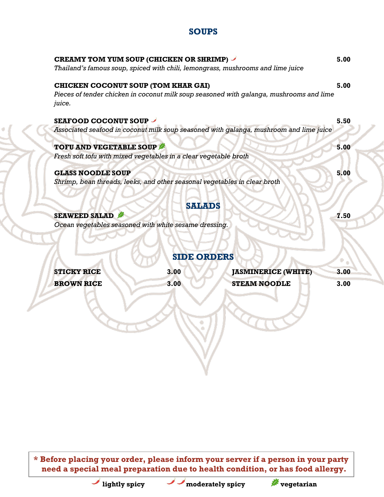# **SOUPS**

| <b>CREAMY TOM YUM SOUP (CHICKEN OR SHRIMP)</b><br>Thailand's famous soup, spiced with chili, lemongrass, mushrooms and lime juice | 5.00 |
|-----------------------------------------------------------------------------------------------------------------------------------|------|
| <b>CHICKEN COCONUT SOUP (TOM KHAR GAI)</b>                                                                                        | 5.00 |
| Pieces of tender chicken in coconut milk soup seasoned with galanga, mushrooms and lime<br>juice.                                 |      |
| <b>SEAFOOD COCONUT SOUP</b>                                                                                                       | 5.50 |
| Associated seafood in coconut milk soup seasoned with galanga, mushroom and lime juice                                            |      |
| <b>TOFU AND VEGETABLE SOUP</b>                                                                                                    | 5.00 |
| Fresh soft tofu with mixed vegetables in a clear vegetable broth                                                                  |      |
| <b>GLASS NOODLE SOUP</b>                                                                                                          | 5.00 |
| Shrimp, bean threads, leeks, and other seasonal vegetables in clear broth                                                         |      |
|                                                                                                                                   |      |
| <b>SALADS</b>                                                                                                                     |      |
| <b>SEAWEED SALAD</b>                                                                                                              | 7.50 |
| Ocean vegetables seasoned with white sesame dressing.                                                                             |      |

## **SIDE ORDERS**

| <b>STICKY RICE</b> | 3.00 | <b>JASMINERICE (WHITE)</b> | 3.00 |
|--------------------|------|----------------------------|------|
| <b>BROWN RICE</b>  | 3.00 | <b>STEAM NOODLE</b>        | 3.00 |

**\* Before placing your order, please inform your server if a person in your party need a special meal preparation due to health condition, or has food allergy.**

**lightly spicy value of moderately spicy** *v* **vegetarian**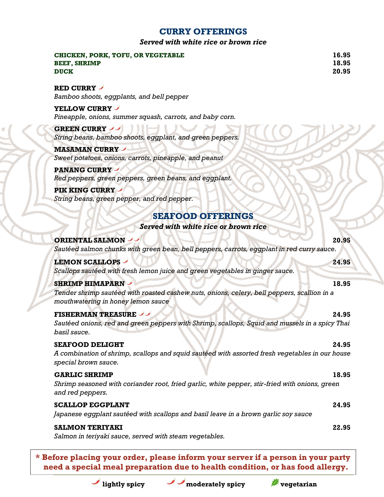## **CURRY OFFERINGS**

#### *Served with white rice or brown rice*

| CHICKEN, PORK, TOFU, OR VEGETABLE<br><b>BEEF, SHRIMP</b><br><b>DUCK</b>                                                                                     | 16.95<br>18.95<br>20.95 |
|-------------------------------------------------------------------------------------------------------------------------------------------------------------|-------------------------|
| RED CURRY<br>Bamboo shoots, eggplants, and bell pepper                                                                                                      |                         |
| YELLOW CURRY<br>Pineapple, onions, summer squash, carrots, and baby corn.                                                                                   |                         |
| <b>GREEN CURRY</b><br>String beans, bamboo shoots, eggplant, and green peppers.                                                                             |                         |
| <b>MASAMAN CURRY /</b><br>Sweet potatoes, onions, carrots, pineapple, and peanut                                                                            |                         |
| <b>PANANG CURRY</b><br>Red peppers, green peppers, green beans, and eggplant.<br><b>PIK KING CURRY -</b>                                                    |                         |
| String beans, green pepper, and red pepper.                                                                                                                 |                         |
| <b>SEAFOOD OFFERINGS</b><br>Served with white rice or brown rice                                                                                            |                         |
| <b>ORIENTAL SALMON /</b><br>Sautéed salmon chunks with green bean, bell peppers, carrots, eggplant in red curry sauce.                                      | 20.95                   |
| <b>LEMON SCALLOPS -</b><br>Scallops sautéed with fresh lemon juice and green vegetables in ginger sauce.                                                    | 24.95                   |
| <b>SHRIMP HIMAPARN</b><br>Tender shrimp sautéed with roasted cashew nuts, onions, celery, bell peppers, scallion in a<br>mouthwatering in honey lemon sauce | 18.95                   |
| <b>FISHERMAN TREASURE</b><br>Sautéed onions, red and green peppers with Shrimp, scallops, Squid and mussels in a spicy Thai<br>basil sauce.                 | 24.95                   |
| <b>SEAFOOD DELIGHT</b><br>A combination of shrimp, scallops and squid sautéed with assorted fresh vegetables in our house<br>special brown sauce.           | 24.95                   |
| <b>GARLIC SHRIMP</b><br>Shrimp seasoned with coriander root, fried garlic, white pepper, stir-fried with onions, green<br>and red peppers.                  | 18.95                   |
| <b>SCALLOP EGGPLANT</b><br>Japanese eggplant sautéed with scallops and basil leave in a brown garlic soy sauce                                              | 24.95                   |
| <b>SALMON TERIYAKI</b><br>Salmon in teriyaki sauce, served with steam vegetables.                                                                           | 22.95                   |

**\* Before placing your order, please inform your server if a person in your party need a special meal preparation due to health condition, or has food allergy.**



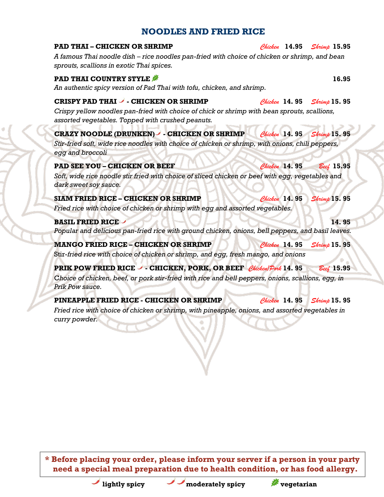### **NOODLES AND FRIED RICE**

| <b>PAD THAI - CHICKEN OR SHRIMP</b>                                                                                                                                                              |               | Chicken 14.95 Shrimp 15.95 |
|--------------------------------------------------------------------------------------------------------------------------------------------------------------------------------------------------|---------------|----------------------------|
| A famous Thai noodle dish – rice noodles pan-fried with choice of chicken or shrimp, and bean<br>sprouts, scallions in exotic Thai spices.                                                       |               |                            |
| <b>PAD THAI COUNTRY STYLE #</b><br>An authentic spicy version of Pad Thai with tofu, chicken, and shrimp.                                                                                        |               | 16.95                      |
| CRISPY PAD THAI - CHICKEN OR SHRIMP<br>Crispy yellow noodles pan-fried with choice of chick or shrimp with bean sprouts, scallions,<br>assorted vegetables. Topped with crushed peanuts.         |               | Chicken 14.95 Shrimp 15.95 |
| <b>CRAZY NOODLE (DRUNKEN) - CHICKEN OR SHRIMP</b><br>Stir-fried soft, wide rice noodles with choice of chicken or shrimp, with onions, chili peppers,<br>egg and broccoli                        | Chicken 14.95 | $Shr$ imp $15.95$          |
| <b>PAD SEE YOU - CHICKEN OR BEEF</b><br>Soft, wide rice noodle stir fried with choice of sliced chicken or beef with egg, vegetables and<br>dark sweet soy sauce.                                | Chicken 14.95 | $Bee\ell$ 15.95            |
| <b>SIAM FRIED RICE - CHICKEN OR SHRIMP</b><br>Fried rice with choice of chicken or shrimp with egg and assorted vegetables.                                                                      | Chicken 14.95 | <b>Shrimp 15.95</b>        |
| <b>BASIL FRIED RICE -</b><br>Popular and delicious pan-fried rice with ground chicken, onions, bell peppers, and basil leaves.                                                                   |               | 14.95                      |
| <b>MANGO FRIED RICE - CHICKEN OR SHRIMP</b><br>Stir-fried rice with choice of chicken or shrimp, and egg, fresh mango, and onions                                                                | Chicken 14.95 | $\textit{Shrimp}$ 15.95    |
| <b>PRIK POW FRIED RICE - CHICKEN, PORK, OR BEEF Chicken Pork 14. 95</b><br>Choice of chicken, beef, or pork stir-fried with rice and bell peppers, onions, scallions, egg, in<br>Prik Pow sauce. |               | Beef 15.95                 |
| PINEAPPLE FRIED RICE - CHICKEN OR SHRIMP<br>Fried rice with choice of chicken or shrimp, with pineapple, onions, and assorted vegetables in<br>curry powder.                                     | Chicken 14.95 | Shrimp 15.95               |

**\* Before placing your order, please inform your server if a person in your party need a special meal preparation due to health condition, or has food allergy.**



**lightly spicy vegetarian** 

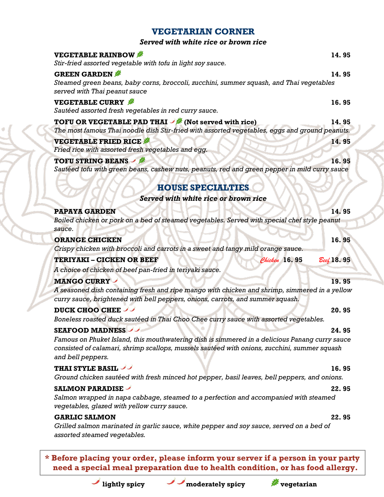| Served with white rice or brown rice                                                                                                                         |            |
|--------------------------------------------------------------------------------------------------------------------------------------------------------------|------------|
| <b>VEGETABLE RAINBOW</b>                                                                                                                                     | 14.95      |
| Stir-fried assorted vegetable with tofu in light soy sauce.                                                                                                  |            |
| <b>GREEN GARDEN</b>                                                                                                                                          | 14.95      |
| Steamed green beans, baby corns, broccoli, zucchini, summer squash, and Thai vegetables                                                                      |            |
| served with Thai peanut sauce                                                                                                                                |            |
| <b>VEGETABLE CURRY</b>                                                                                                                                       | 16.95      |
| Sautéed assorted fresh vegetables in red curry sauce.                                                                                                        |            |
| <b>TOFU OR VEGETABLE PAD THAI</b> / (Not served with rice)<br>The most famous Thai noodle dish Stir-fried with assorted vegetables, eggs and ground peanuts. | 14.95      |
| <b>VEGETABLE FRIED RICE</b>                                                                                                                                  |            |
| Fried rice with assorted fresh vegetables and egg.                                                                                                           | 14.95      |
| <b>TOFU STRING BEANS / #</b>                                                                                                                                 | 16.95      |
| Sautéed tofu with green beans, cashew nuts, peanuts, red and green pepper in mild curry sauce                                                                |            |
|                                                                                                                                                              |            |
| <b>HOUSE SPECIALTIES</b>                                                                                                                                     |            |
| Served with white rice or brown rice                                                                                                                         |            |
| <b>PAPAYA GARDEN</b>                                                                                                                                         | 14.95      |
| Boiled chicken or pork on a bed of steamed vegetables. Served with special chef style peanut                                                                 |            |
| sauce.                                                                                                                                                       |            |
| <b>ORANGE CHICKEN</b>                                                                                                                                        | 16.95      |
| Crispy chicken with broccoli and carrots in a sweet and tangy mild orange sauce.                                                                             |            |
| <b>TERIYAKI - CICKEN OR BEEF</b><br>Chicken 16.95                                                                                                            | Beef 18.95 |
| A choice of chicken of beef pan-fried in teriyaki sauce.                                                                                                     |            |
| <b>MANGO CURRY</b>                                                                                                                                           | 19.95      |
| A seasoned dish containing fresh and ripe mango with chicken and shrimp, simmered in a yellow                                                                |            |
| curry sauce, brightened with bell peppers, onions, carrots, and summer squash.                                                                               |            |
| DUCK CHOO CHEE                                                                                                                                               | 20.95      |
| Boneless roasted duck sautéed in Thai Choo Chee curry sauce with assorted vegetables.                                                                        |            |
| <b>SEAFOOD MADNESS</b>                                                                                                                                       | 24.95      |
| Famous on Phuket Island, this mouthwatering dish is simmered in a delicious Panang curry sauce                                                               |            |
| consisted of calamari, shrimp scallops, mussels sautéed with onions, zucchini, summer squash<br>and bell peppers.                                            |            |
| <b>THAI STYLE BASIL</b>                                                                                                                                      | 16.95      |
| Ground chicken sautéed with fresh minced hot pepper, basil leaves, bell peppers, and onions.                                                                 |            |
| <b>SALMON PARADISE</b>                                                                                                                                       | 22.95      |
| Salmon wrapped in napa cabbage, steamed to a perfection and accompanied with steamed                                                                         |            |
| vegetables, glazed with yellow curry sauce.                                                                                                                  |            |
| <b>GARLIC SALMON</b>                                                                                                                                         | 22.95      |
| Grilled salmon marinated in garlic sauce, white pepper and soy sauce, served on a bed of                                                                     |            |
| assorted steamed vegetables.                                                                                                                                 |            |

**VEGETARIAN CORNER**

**\* Before placing your order, please inform your server if a person in your party need a special meal preparation due to health condition, or has food allergy.**



**lightly spicy moderately spicy vegetarian**